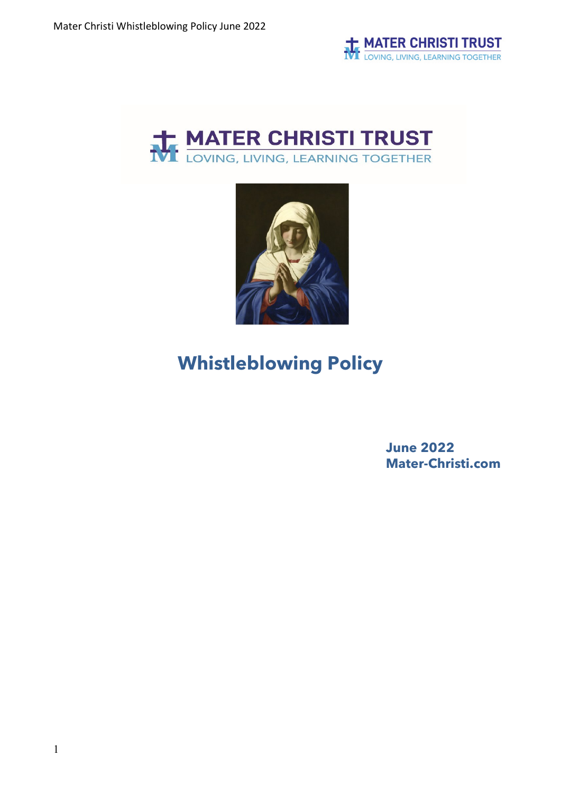





# **Whistleblowing Policy**

**June 2022 Mater-Christi.com**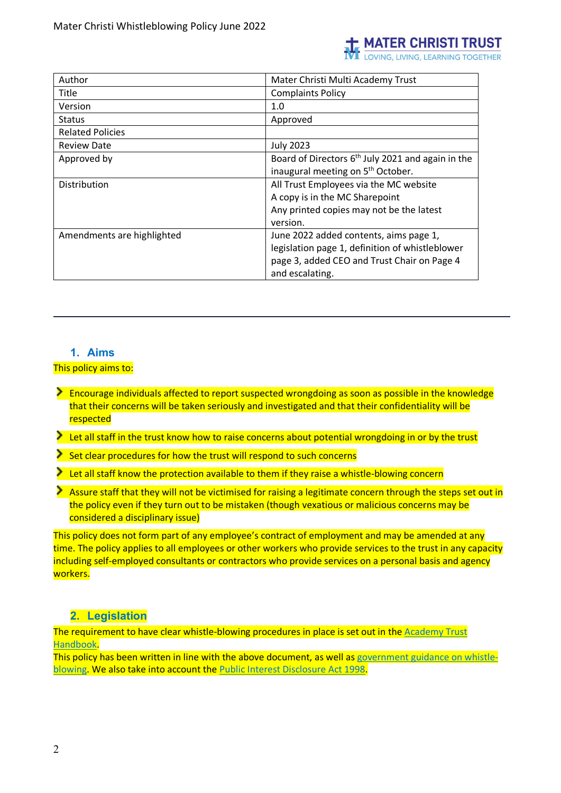

| Author                     | Mater Christi Multi Academy Trust                   |
|----------------------------|-----------------------------------------------------|
| Title                      | <b>Complaints Policy</b>                            |
| Version                    | 1.0                                                 |
| <b>Status</b>              | Approved                                            |
| <b>Related Policies</b>    |                                                     |
| <b>Review Date</b>         | <b>July 2023</b>                                    |
| Approved by                | Board of Directors $6th$ July 2021 and again in the |
|                            | inaugural meeting on 5 <sup>th</sup> October.       |
| Distribution               | All Trust Employees via the MC website              |
|                            | A copy is in the MC Sharepoint                      |
|                            | Any printed copies may not be the latest            |
|                            | version.                                            |
| Amendments are highlighted | June 2022 added contents, aims page 1,              |
|                            | legislation page 1, definition of whistleblower     |
|                            | page 3, added CEO and Trust Chair on Page 4         |
|                            | and escalating.                                     |

## **1. Aims**

This policy aims to:

- **Encourage individuals affected to report suspected wrongdoing as soon as possible in the knowledge** that their concerns will be taken seriously and investigated and that their confidentiality will be respected
- Let all staff in the trust know how to raise concerns about potential wrongdoing in or by the trust
- Set clear procedures for how the trust will respond to such concerns
- Let all staff know the protection available to them if they raise a whistle-blowing concern
- Assure staff that they will not be victimised for raising a legitimate concern through the steps set out in the policy even if they turn out to be mistaken (though vexatious or malicious concerns may be considered a disciplinary issue)

This policy does not form part of any employee's contract of employment and may be amended at any time. The policy applies to all employees or other workers who provide services to the trust in any capacity including self-employed consultants or contractors who provide services on a personal basis and agency workers.

# **2. Legislation**

The requirement to have clear whistle-blowing procedures in place is set out in the [Academy Trust](https://www.gov.uk/guidance/academies-financial-handbook/academy-trust-handbook-2021)  [Handbook.](https://www.gov.uk/guidance/academies-financial-handbook/academy-trust-handbook-2021)

This policy has been written in line with the above document, as well as [government guidance on whistle](https://www.gov.uk/whistleblowing)[blowing.](https://www.gov.uk/whistleblowing) We also take into account the [Public Interest Disclosure Act 1998.](https://www.legislation.gov.uk/ukpga/1998/23/contents)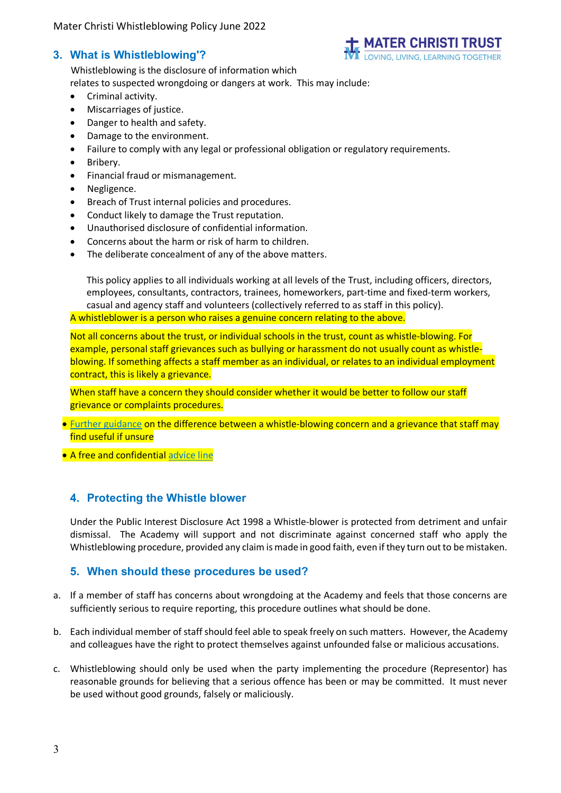# **3. What is Whistleblowing'?**



Whistleblowing is the disclosure of information which relates to suspected wrongdoing or dangers at work. This may include:

- Criminal activity.
- Miscarriages of justice.
- Danger to health and safety.
- Damage to the environment.
- Failure to comply with any legal or professional obligation or regulatory requirements.
- Bribery.
- Financial fraud or mismanagement.
- Negligence.
- Breach of Trust internal policies and procedures.
- Conduct likely to damage the Trust reputation.
- Unauthorised disclosure of confidential information.
- Concerns about the harm or risk of harm to children.
- The deliberate concealment of any of the above matters.

This policy applies to all individuals working at all levels of the Trust, including officers, directors, employees, consultants, contractors, trainees, homeworkers, part-time and fixed-term workers, casual and agency staff and volunteers (collectively referred to as staff in this policy). A whistleblower is a person who raises a genuine concern relating to the above.

Not all concerns about the trust, or individual schools in the trust, count as whistle-blowing. For example, personal staff grievances such as bullying or harassment do not usually count as whistleblowing. If something affects a staff member as an individual, or relates to an individual employment contract, this is likely a grievance.

When staff have a concern they should consider whether it would be better to follow our staff grievance or complaints procedures.

- [Further guidance](https://protect-advice.org.uk/what-is-whistleblowing/) on the difference between a whistle-blowing concern and a grievance that staff may find useful if unsure
- A free and confidential [advice line](https://protect-advice.org.uk/contact-protect-advice-line/)

# **4. Protecting the Whistle blower**

Under the Public Interest Disclosure Act 1998 a Whistle-blower is protected from detriment and unfair dismissal. The Academy will support and not discriminate against concerned staff who apply the Whistleblowing procedure, provided any claim is made in good faith, even if they turn out to be mistaken.

# **5. When should these procedures be used?**

- a. If a member of staff has concerns about wrongdoing at the Academy and feels that those concerns are sufficiently serious to require reporting, this procedure outlines what should be done.
- b. Each individual member of staff should feel able to speak freely on such matters. However, the Academy and colleagues have the right to protect themselves against unfounded false or malicious accusations.
- c. Whistleblowing should only be used when the party implementing the procedure (Representor) has reasonable grounds for believing that a serious offence has been or may be committed. It must never be used without good grounds, falsely or maliciously.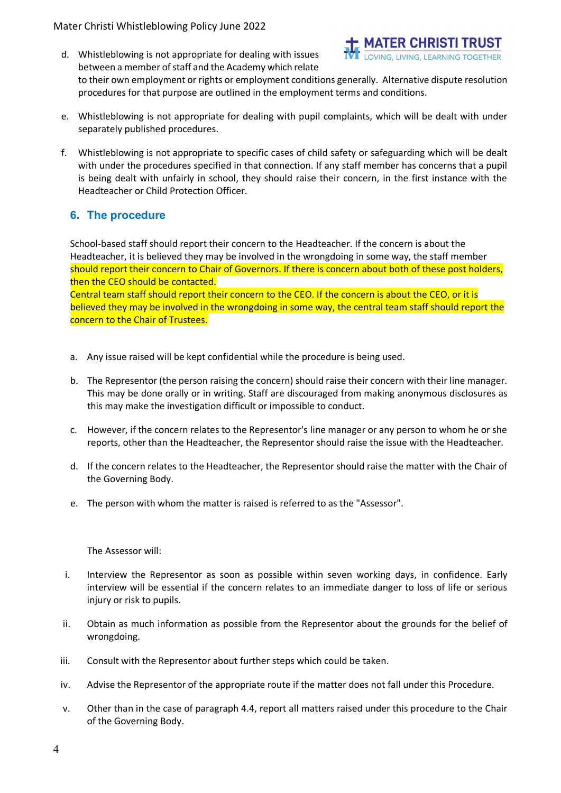- <u>MATER CHRISTI TRUST</u> d. Whistleblowing is not appropriate for dealing with issues between a member of staff and the Academy which relate to their own employment or rights or employment conditions generally. Alternative dispute resolution procedures for that purpose are outlined in the employment terms and conditions.
- e. Whistleblowing is not appropriate for dealing with pupil complaints, which will be dealt with under separately published procedures.
- f. Whistleblowing is not appropriate to specific cases of child safety or safeguarding which will be dealt with under the procedures specified in that connection. If any staff member has concerns that a pupil is being dealt with unfairly in school, they should raise their concern, in the first instance with the Headteacher or Child Protection Officer.

# **6. The procedure**

School-based staff should report their concern to the Headteacher. If the concern is about the Headteacher, it is believed they may be involved in the wrongdoing in some way, the staff member should report their concern to Chair of Governors. If there is concern about both of these post holders, then the CEO should be contacted.

Central team staff should report their concern to the CEO. If the concern is about the CEO, or it is believed they may be involved in the wrongdoing in some way, the central team staff should report the concern to the Chair of Trustees.

- a. Any issue raised will be kept confidential while the procedure is being used.
- b. The Representor (the person raising the concern) should raise their concern with their line manager. This may be done orally or in writing. Staff are discouraged from making anonymous disclosures as this may make the investigation difficult or impossible to conduct.
- c. However, if the concern relates to the Representor's line manager or any person to whom he or she reports, other than the Headteacher, the Representor should raise the issue with the Headteacher.
- d. If the concern relates to the Headteacher, the Representor should raise the matter with the Chair of the Governing Body.
- e. The person with whom the matter is raised is referred to as the "Assessor".

#### The Assessor will:

- i. Interview the Representor as soon as possible within seven working days, in confidence. Early interview will be essential if the concern relates to an immediate danger to loss of life or serious injury or risk to pupils.
- ii. Obtain as much information as possible from the Representor about the grounds for the belief of wrongdoing.
- iii. Consult with the Representor about further steps which could be taken.
- iv. Advise the Representor of the appropriate route if the matter does not fall under this Procedure.
- v. Other than in the case of paragraph 4.4, report all matters raised under this procedure to the Chair of the Governing Body.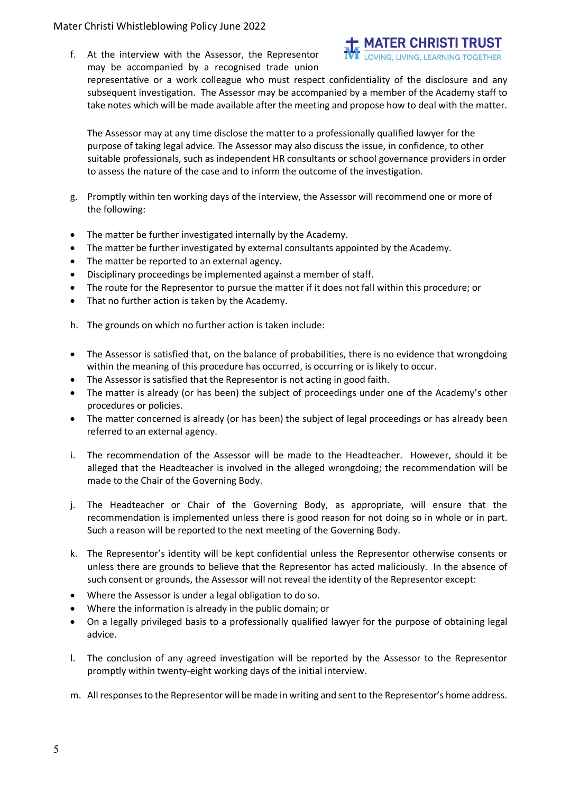### Mater Christi Whistleblowing Policy June 2022

f. At the interview with the Assessor, the Representor may be accompanied by a recognised trade union



representative or a work colleague who must respect confidentiality of the disclosure and any subsequent investigation. The Assessor may be accompanied by a member of the Academy staff to take notes which will be made available after the meeting and propose how to deal with the matter.

The Assessor may at any time disclose the matter to a professionally qualified lawyer for the purpose of taking legal advice. The Assessor may also discuss the issue, in confidence, to other suitable professionals, such as independent HR consultants or school governance providers in order to assess the nature of the case and to inform the outcome of the investigation.

- g. Promptly within ten working days of the interview, the Assessor will recommend one or more of the following:
- The matter be further investigated internally by the Academy.
- The matter be further investigated by external consultants appointed by the Academy.
- The matter be reported to an external agency.
- Disciplinary proceedings be implemented against a member of staff.
- The route for the Representor to pursue the matter if it does not fall within this procedure; or
- That no further action is taken by the Academy.
- h. The grounds on which no further action is taken include:
- The Assessor is satisfied that, on the balance of probabilities, there is no evidence that wrongdoing within the meaning of this procedure has occurred, is occurring or is likely to occur.
- The Assessor is satisfied that the Representor is not acting in good faith.
- The matter is already (or has been) the subject of proceedings under one of the Academy's other procedures or policies.
- The matter concerned is already (or has been) the subject of legal proceedings or has already been referred to an external agency.
- i. The recommendation of the Assessor will be made to the Headteacher. However, should it be alleged that the Headteacher is involved in the alleged wrongdoing; the recommendation will be made to the Chair of the Governing Body.
- j. The Headteacher or Chair of the Governing Body, as appropriate, will ensure that the recommendation is implemented unless there is good reason for not doing so in whole or in part. Such a reason will be reported to the next meeting of the Governing Body.
- k. The Representor's identity will be kept confidential unless the Representor otherwise consents or unless there are grounds to believe that the Representor has acted maliciously. In the absence of such consent or grounds, the Assessor will not reveal the identity of the Representor except:
- Where the Assessor is under a legal obligation to do so.
- Where the information is already in the public domain; or
- On a legally privileged basis to a professionally qualified lawyer for the purpose of obtaining legal advice.
- l. The conclusion of any agreed investigation will be reported by the Assessor to the Representor promptly within twenty-eight working days of the initial interview.
- m. All responses to the Representor will be made in writing and sent to the Representor's home address.